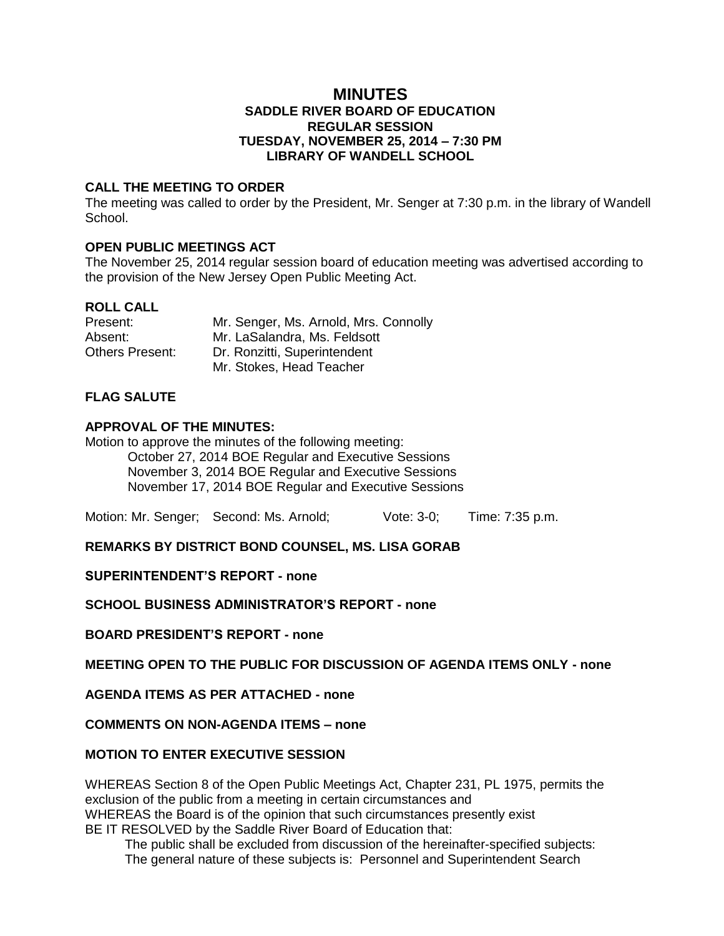### **MINUTES SADDLE RIVER BOARD OF EDUCATION REGULAR SESSION TUESDAY, NOVEMBER 25, 2014 – 7:30 PM LIBRARY OF WANDELL SCHOOL**

### **CALL THE MEETING TO ORDER**

The meeting was called to order by the President, Mr. Senger at 7:30 p.m. in the library of Wandell School.

### **OPEN PUBLIC MEETINGS ACT**

The November 25, 2014 regular session board of education meeting was advertised according to the provision of the New Jersey Open Public Meeting Act.

# **ROLL CALL**

| Present:        | Mr. Senger, Ms. Arnold, Mrs. Connolly |
|-----------------|---------------------------------------|
| Absent:         | Mr. LaSalandra, Ms. Feldsott          |
| Others Present: | Dr. Ronzitti, Superintendent          |
|                 | Mr. Stokes, Head Teacher              |

# **FLAG SALUTE**

#### **APPROVAL OF THE MINUTES:**

Motion to approve the minutes of the following meeting:

October 27, 2014 BOE Regular and Executive Sessions November 3, 2014 BOE Regular and Executive Sessions November 17, 2014 BOE Regular and Executive Sessions

Motion: Mr. Senger; Second: Ms. Arnold; Vote: 3-0; Time: 7:35 p.m.

**REMARKS BY DISTRICT BOND COUNSEL, MS. LISA GORAB**

**SUPERINTENDENT'S REPORT - none**

**SCHOOL BUSINESS ADMINISTRATOR'S REPORT - none**

**BOARD PRESIDENT'S REPORT - none**

**MEETING OPEN TO THE PUBLIC FOR DISCUSSION OF AGENDA ITEMS ONLY - none**

**AGENDA ITEMS AS PER ATTACHED - none**

**COMMENTS ON NON-AGENDA ITEMS – none**

### **MOTION TO ENTER EXECUTIVE SESSION**

WHEREAS Section 8 of the Open Public Meetings Act, Chapter 231, PL 1975, permits the exclusion of the public from a meeting in certain circumstances and WHEREAS the Board is of the opinion that such circumstances presently exist BE IT RESOLVED by the Saddle River Board of Education that:

 The public shall be excluded from discussion of the hereinafter-specified subjects: The general nature of these subjects is: Personnel and Superintendent Search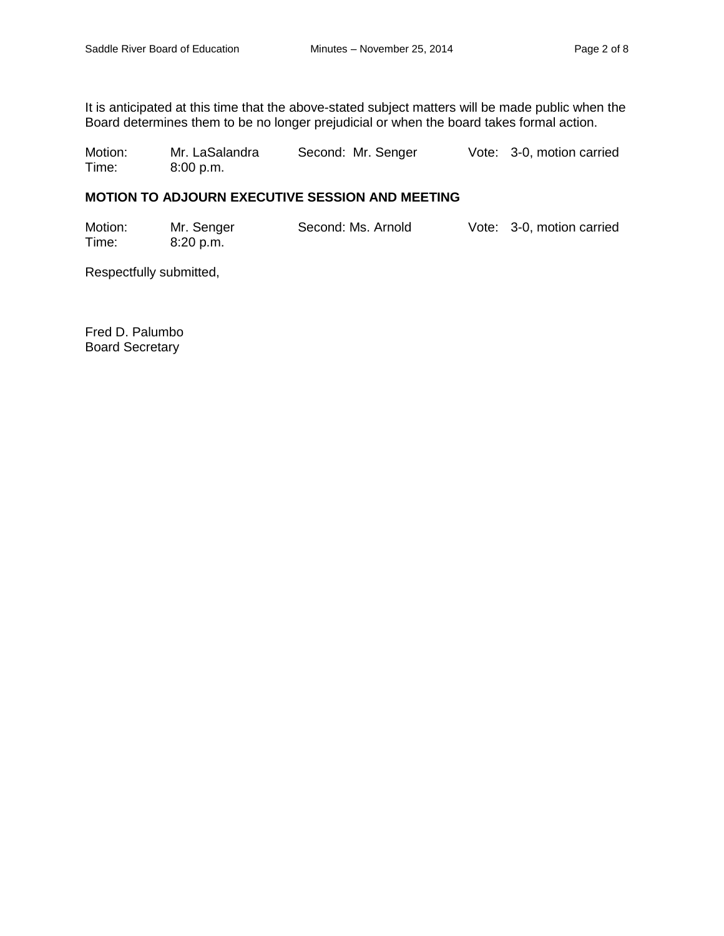It is anticipated at this time that the above-stated subject matters will be made public when the Board determines them to be no longer prejudicial or when the board takes formal action.

Motion: Mr. LaSalandra Second: Mr. Senger Vote: 3-0, motion carried Time: 8:00 p.m.

## **MOTION TO ADJOURN EXECUTIVE SESSION AND MEETING**

| Motion: | Mr. Senger | Second: Ms. Arnold | Vote: 3-0, motion carried |
|---------|------------|--------------------|---------------------------|
| Time:   | .8:20 p.m. |                    |                           |

Respectfully submitted,

Fred D. Palumbo Board Secretary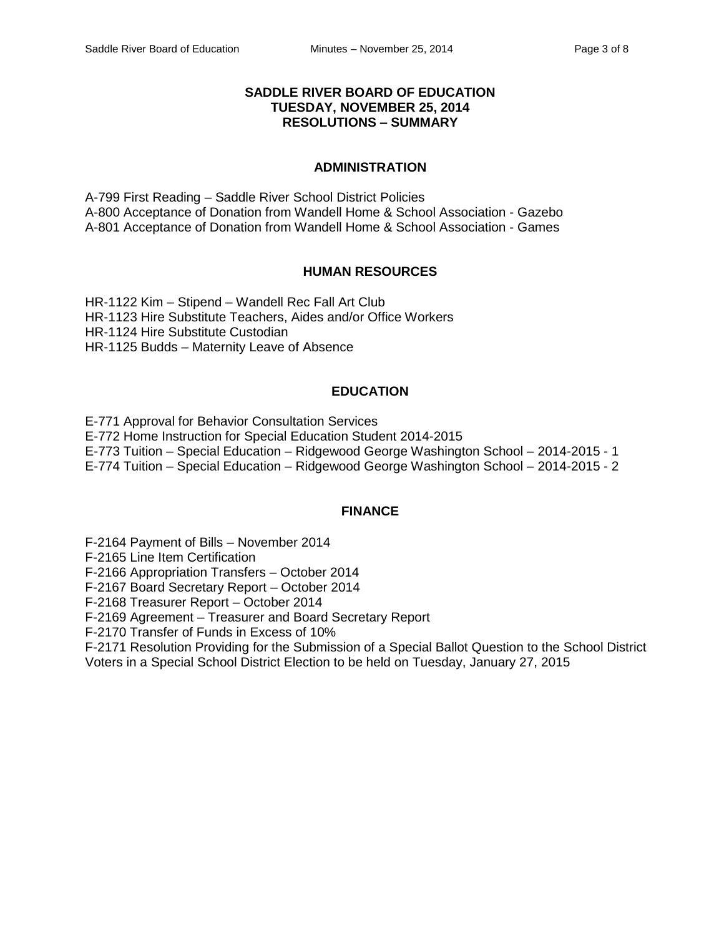### **SADDLE RIVER BOARD OF EDUCATION TUESDAY, NOVEMBER 25, 2014 RESOLUTIONS – SUMMARY**

#### **ADMINISTRATION**

A-799 First Reading – Saddle River School District Policies A-800 Acceptance of Donation from Wandell Home & School Association - Gazebo A-801 Acceptance of Donation from Wandell Home & School Association - Games

#### **HUMAN RESOURCES**

HR-1122 Kim – Stipend – Wandell Rec Fall Art Club HR-1123 Hire Substitute Teachers, Aides and/or Office Workers HR-1124 Hire Substitute Custodian HR-1125 Budds – Maternity Leave of Absence

# **EDUCATION**

E-771 Approval for Behavior Consultation Services E-772 Home Instruction for Special Education Student 2014-2015 E-773 Tuition – Special Education – Ridgewood George Washington School – 2014-2015 - 1 E-774 Tuition – Special Education – Ridgewood George Washington School – 2014-2015 - 2

#### **FINANCE**

F-2164 Payment of Bills – November 2014

F-2165 Line Item Certification

F-2166 Appropriation Transfers – October 2014

F-2167 Board Secretary Report – October 2014

F-2168 Treasurer Report – October 2014

F-2169 Agreement – Treasurer and Board Secretary Report

F-2170 Transfer of Funds in Excess of 10%

F-2171 Resolution Providing for the Submission of a Special Ballot Question to the School District Voters in a Special School District Election to be held on Tuesday, January 27, 2015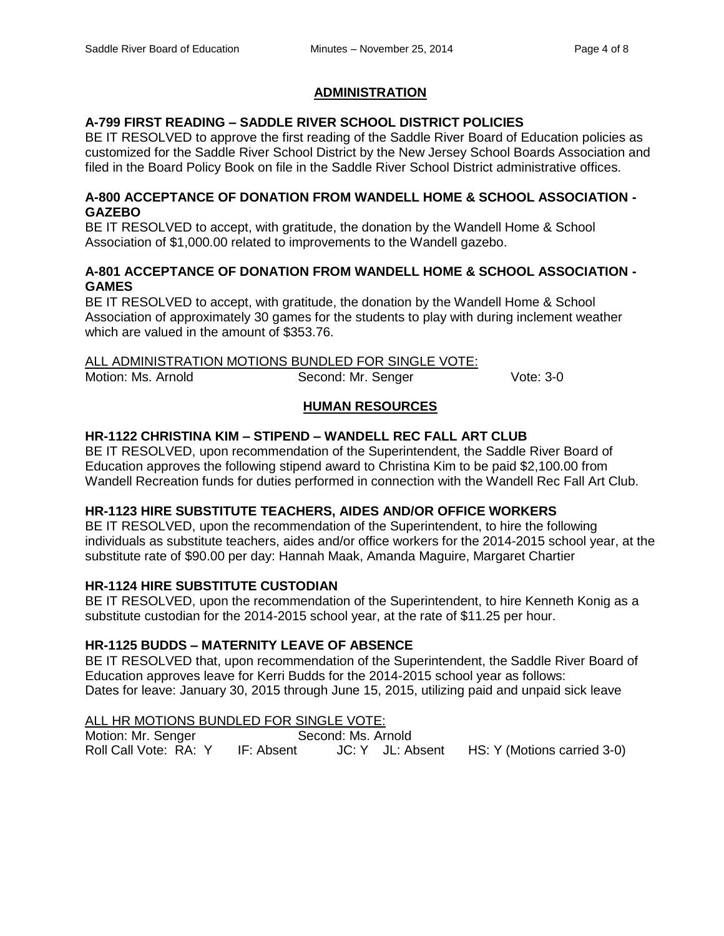### **ADMINISTRATION**

# **A-799 FIRST READING – SADDLE RIVER SCHOOL DISTRICT POLICIES**

BE IT RESOLVED to approve the first reading of the Saddle River Board of Education policies as customized for the Saddle River School District by the New Jersey School Boards Association and filed in the Board Policy Book on file in the Saddle River School District administrative offices.

#### **A-800 ACCEPTANCE OF DONATION FROM WANDELL HOME & SCHOOL ASSOCIATION - GAZEBO**

BE IT RESOLVED to accept, with gratitude, the donation by the Wandell Home & School Association of \$1,000.00 related to improvements to the Wandell gazebo.

### **A-801 ACCEPTANCE OF DONATION FROM WANDELL HOME & SCHOOL ASSOCIATION - GAMES**

BE IT RESOLVED to accept, with gratitude, the donation by the Wandell Home & School Association of approximately 30 games for the students to play with during inclement weather which are valued in the amount of \$353.76.

### ALL ADMINISTRATION MOTIONS BUNDLED FOR SINGLE VOTE:

Motion: Ms. Arnold Second: Mr. Senger Vote: 3-0

# **HUMAN RESOURCES**

# **HR-1122 CHRISTINA KIM – STIPEND – WANDELL REC FALL ART CLUB**

BE IT RESOLVED, upon recommendation of the Superintendent, the Saddle River Board of Education approves the following stipend award to Christina Kim to be paid \$2,100.00 from Wandell Recreation funds for duties performed in connection with the Wandell Rec Fall Art Club.

# **HR-1123 HIRE SUBSTITUTE TEACHERS, AIDES AND/OR OFFICE WORKERS**

BE IT RESOLVED, upon the recommendation of the Superintendent, to hire the following individuals as substitute teachers, aides and/or office workers for the 2014-2015 school year, at the substitute rate of \$90.00 per day: Hannah Maak, Amanda Maguire, Margaret Chartier

# **HR-1124 HIRE SUBSTITUTE CUSTODIAN**

BE IT RESOLVED, upon the recommendation of the Superintendent, to hire Kenneth Konig as a substitute custodian for the 2014-2015 school year, at the rate of \$11.25 per hour.

# **HR-1125 BUDDS – MATERNITY LEAVE OF ABSENCE**

BE IT RESOLVED that, upon recommendation of the Superintendent, the Saddle River Board of Education approves leave for Kerri Budds for the 2014-2015 school year as follows: Dates for leave: January 30, 2015 through June 15, 2015, utilizing paid and unpaid sick leave

### ALL HR MOTIONS BUNDLED FOR SINGLE VOTE:

Motion: Mr. Senger Second: Ms. Arnold Roll Call Vote: RA: Y IF: Absent JC: Y JL: Absent HS: Y (Motions carried 3-0)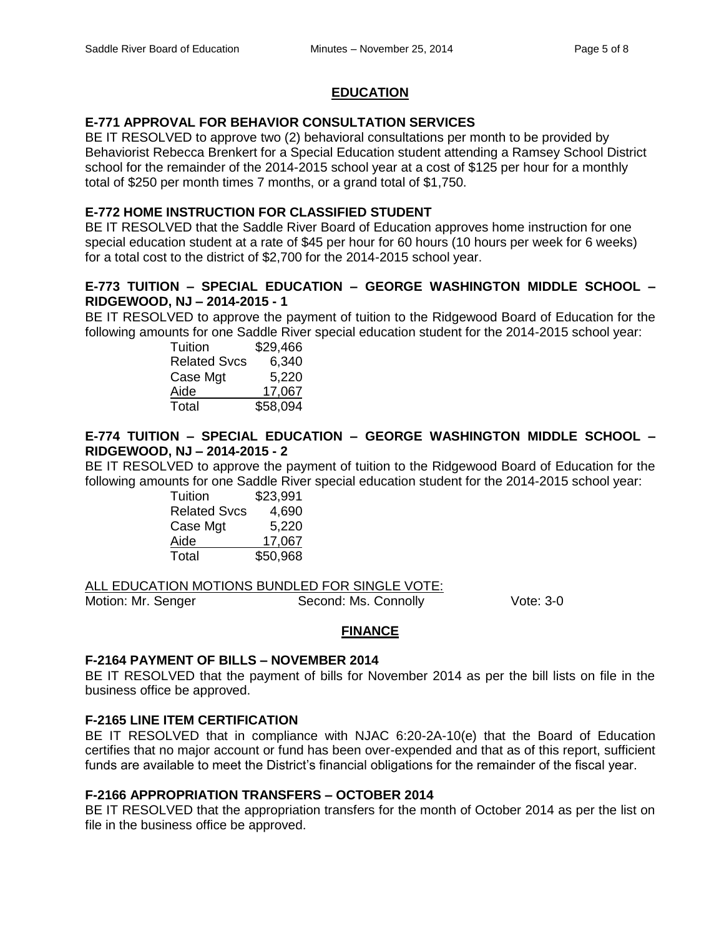## **EDUCATION**

# **E-771 APPROVAL FOR BEHAVIOR CONSULTATION SERVICES**

BE IT RESOLVED to approve two (2) behavioral consultations per month to be provided by Behaviorist Rebecca Brenkert for a Special Education student attending a Ramsey School District school for the remainder of the 2014-2015 school year at a cost of \$125 per hour for a monthly total of \$250 per month times 7 months, or a grand total of \$1,750.

# **E-772 HOME INSTRUCTION FOR CLASSIFIED STUDENT**

BE IT RESOLVED that the Saddle River Board of Education approves home instruction for one special education student at a rate of \$45 per hour for 60 hours (10 hours per week for 6 weeks) for a total cost to the district of \$2,700 for the 2014-2015 school year.

# **E-773 TUITION – SPECIAL EDUCATION – GEORGE WASHINGTON MIDDLE SCHOOL – RIDGEWOOD, NJ – 2014-2015 - 1**

BE IT RESOLVED to approve the payment of tuition to the Ridgewood Board of Education for the following amounts for one Saddle River special education student for the 2014-2015 school year:

| Tuition             | \$29,466 |
|---------------------|----------|
| <b>Related Svcs</b> | 6,340    |
| Case Mgt            | 5,220    |
| Aide                | 17.067   |
| Total               | \$58,094 |

# **E-774 TUITION – SPECIAL EDUCATION – GEORGE WASHINGTON MIDDLE SCHOOL – RIDGEWOOD, NJ – 2014-2015 - 2**

BE IT RESOLVED to approve the payment of tuition to the Ridgewood Board of Education for the following amounts for one Saddle River special education student for the 2014-2015 school year:

| Tuition             | \$23,991 |
|---------------------|----------|
| <b>Related Svcs</b> | 4,690    |
| Case Mgt            | 5,220    |
| Aide                | 17,067   |
| Total               | \$50,968 |

ALL EDUCATION MOTIONS BUNDLED FOR SINGLE VOTE:

Motion: Mr. Senger Second: Ms. Connolly Vote: 3-0

# **FINANCE**

#### **F-2164 PAYMENT OF BILLS – NOVEMBER 2014**

BE IT RESOLVED that the payment of bills for November 2014 as per the bill lists on file in the business office be approved.

# **F-2165 LINE ITEM CERTIFICATION**

BE IT RESOLVED that in compliance with NJAC 6:20-2A-10(e) that the Board of Education certifies that no major account or fund has been over-expended and that as of this report, sufficient funds are available to meet the District's financial obligations for the remainder of the fiscal year.

# **F-2166 APPROPRIATION TRANSFERS – OCTOBER 2014**

BE IT RESOLVED that the appropriation transfers for the month of October 2014 as per the list on file in the business office be approved.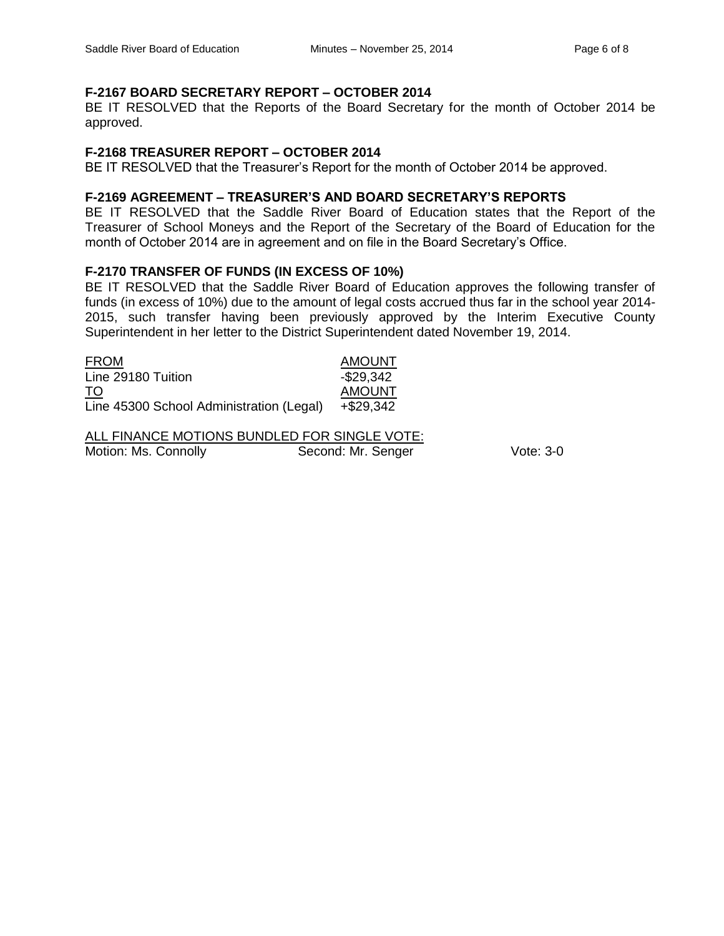# **F-2167 BOARD SECRETARY REPORT – OCTOBER 2014**

BE IT RESOLVED that the Reports of the Board Secretary for the month of October 2014 be approved.

#### **F-2168 TREASURER REPORT – OCTOBER 2014**

BE IT RESOLVED that the Treasurer's Report for the month of October 2014 be approved.

### **F-2169 AGREEMENT – TREASURER'S AND BOARD SECRETARY'S REPORTS**

BE IT RESOLVED that the Saddle River Board of Education states that the Report of the Treasurer of School Moneys and the Report of the Secretary of the Board of Education for the month of October 2014 are in agreement and on file in the Board Secretary's Office.

### **F-2170 TRANSFER OF FUNDS (IN EXCESS OF 10%)**

BE IT RESOLVED that the Saddle River Board of Education approves the following transfer of funds (in excess of 10%) due to the amount of legal costs accrued thus far in the school year 2014- 2015, such transfer having been previously approved by the Interim Executive County Superintendent in her letter to the District Superintendent dated November 19, 2014.

| <b>FROM</b>                              | <b>AMOUNT</b> |
|------------------------------------------|---------------|
| Line 29180 Tuition                       | $-$ \$29,342  |
| TO                                       | <b>AMOUNT</b> |
| Line 45300 School Administration (Legal) | +\$29.342     |

ALL FINANCE MOTIONS BUNDLED FOR SINGLE VOTE: Motion: Ms. Connolly **Second: Mr. Senger** Vote: 3-0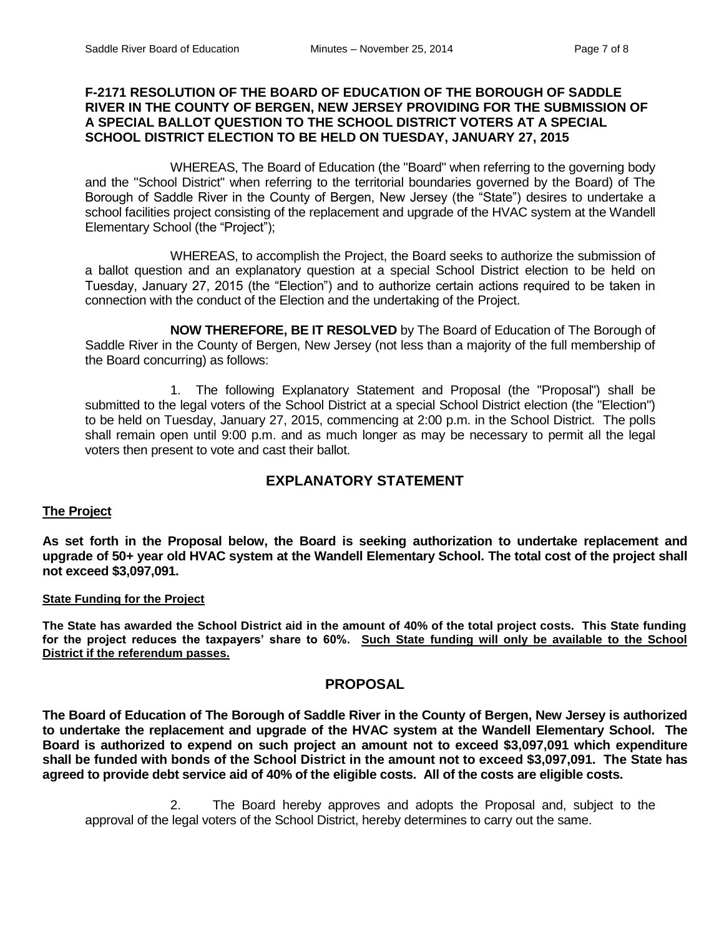### **F-2171 RESOLUTION OF THE BOARD OF EDUCATION OF THE BOROUGH OF SADDLE RIVER IN THE COUNTY OF BERGEN, NEW JERSEY PROVIDING FOR THE SUBMISSION OF A SPECIAL BALLOT QUESTION TO THE SCHOOL DISTRICT VOTERS AT A SPECIAL SCHOOL DISTRICT ELECTION TO BE HELD ON TUESDAY, JANUARY 27, 2015**

WHEREAS, The Board of Education (the "Board" when referring to the governing body and the "School District" when referring to the territorial boundaries governed by the Board) of The Borough of Saddle River in the County of Bergen, New Jersey (the "State") desires to undertake a school facilities project consisting of the replacement and upgrade of the HVAC system at the Wandell Elementary School (the "Project");

WHEREAS, to accomplish the Project, the Board seeks to authorize the submission of a ballot question and an explanatory question at a special School District election to be held on Tuesday, January 27, 2015 (the "Election") and to authorize certain actions required to be taken in connection with the conduct of the Election and the undertaking of the Project.

**NOW THEREFORE, BE IT RESOLVED** by The Board of Education of The Borough of Saddle River in the County of Bergen, New Jersey (not less than a majority of the full membership of the Board concurring) as follows:

1. The following Explanatory Statement and Proposal (the "Proposal") shall be submitted to the legal voters of the School District at a special School District election (the "Election") to be held on Tuesday, January 27, 2015, commencing at 2:00 p.m. in the School District. The polls shall remain open until 9:00 p.m. and as much longer as may be necessary to permit all the legal voters then present to vote and cast their ballot.

# **EXPLANATORY STATEMENT**

#### **The Project**

**As set forth in the Proposal below, the Board is seeking authorization to undertake replacement and upgrade of 50+ year old HVAC system at the Wandell Elementary School. The total cost of the project shall not exceed \$3,097,091.** 

#### **State Funding for the Project**

**The State has awarded the School District aid in the amount of 40% of the total project costs. This State funding for the project reduces the taxpayers' share to 60%. Such State funding will only be available to the School District if the referendum passes.**

#### **PROPOSAL**

**The Board of Education of The Borough of Saddle River in the County of Bergen, New Jersey is authorized to undertake the replacement and upgrade of the HVAC system at the Wandell Elementary School. The Board is authorized to expend on such project an amount not to exceed \$3,097,091 which expenditure shall be funded with bonds of the School District in the amount not to exceed \$3,097,091. The State has agreed to provide debt service aid of 40% of the eligible costs. All of the costs are eligible costs.**

2. The Board hereby approves and adopts the Proposal and, subject to the approval of the legal voters of the School District, hereby determines to carry out the same.